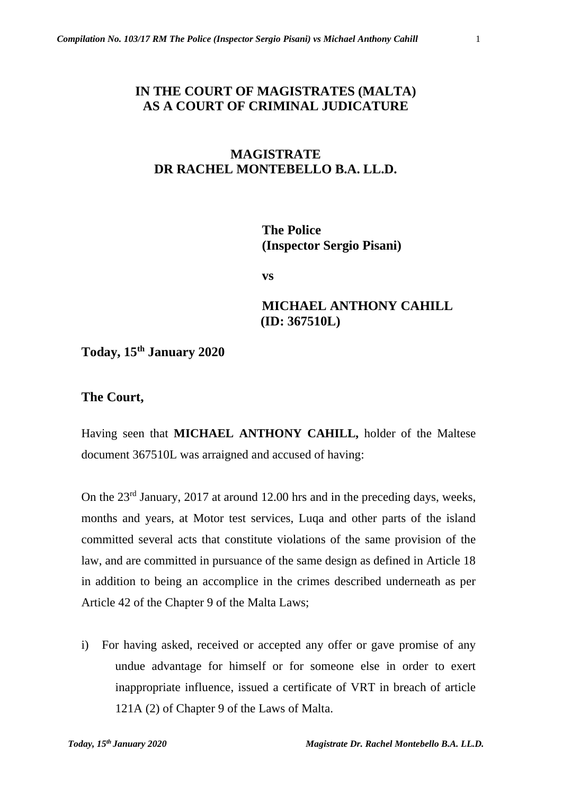# **IN THE COURT OF MAGISTRATES (MALTA) AS A COURT OF CRIMINAL JUDICATURE**

# **MAGISTRATE DR RACHEL MONTEBELLO B.A. LL.D.**

**The Police (Inspector Sergio Pisani)**

**vs**

# **MICHAEL ANTHONY CAHILL (ID: 367510L)**

**Today, 15th January 2020** 

## **The Court,**

Having seen that **MICHAEL ANTHONY CAHILL,** holder of the Maltese document 367510L was arraigned and accused of having:

On the 23rd January, 2017 at around 12.00 hrs and in the preceding days, weeks, months and years, at Motor test services, Luqa and other parts of the island committed several acts that constitute violations of the same provision of the law, and are committed in pursuance of the same design as defined in Article 18 in addition to being an accomplice in the crimes described underneath as per Article 42 of the Chapter 9 of the Malta Laws;

i) For having asked, received or accepted any offer or gave promise of any undue advantage for himself or for someone else in order to exert inappropriate influence, issued a certificate of VRT in breach of article 121A (2) of Chapter 9 of the Laws of Malta.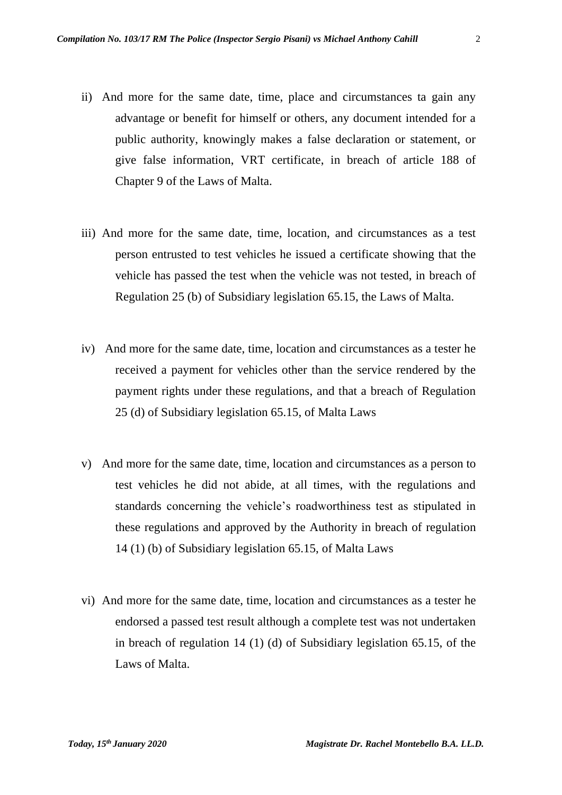- ii) And more for the same date, time, place and circumstances ta gain any advantage or benefit for himself or others, any document intended for a public authority, knowingly makes a false declaration or statement, or give false information, VRT certificate, in breach of article 188 of Chapter 9 of the Laws of Malta.
- iii) And more for the same date, time, location, and circumstances as a test person entrusted to test vehicles he issued a certificate showing that the vehicle has passed the test when the vehicle was not tested, in breach of Regulation 25 (b) of Subsidiary legislation 65.15, the Laws of Malta.
- iv) And more for the same date, time, location and circumstances as a tester he received a payment for vehicles other than the service rendered by the payment rights under these regulations, and that a breach of Regulation 25 (d) of Subsidiary legislation 65.15, of Malta Laws
- v) And more for the same date, time, location and circumstances as a person to test vehicles he did not abide, at all times, with the regulations and standards concerning the vehicle's roadworthiness test as stipulated in these regulations and approved by the Authority in breach of regulation 14 (1) (b) of Subsidiary legislation 65.15, of Malta Laws
- vi) And more for the same date, time, location and circumstances as a tester he endorsed a passed test result although a complete test was not undertaken in breach of regulation 14 (1) (d) of Subsidiary legislation 65.15, of the Laws of Malta.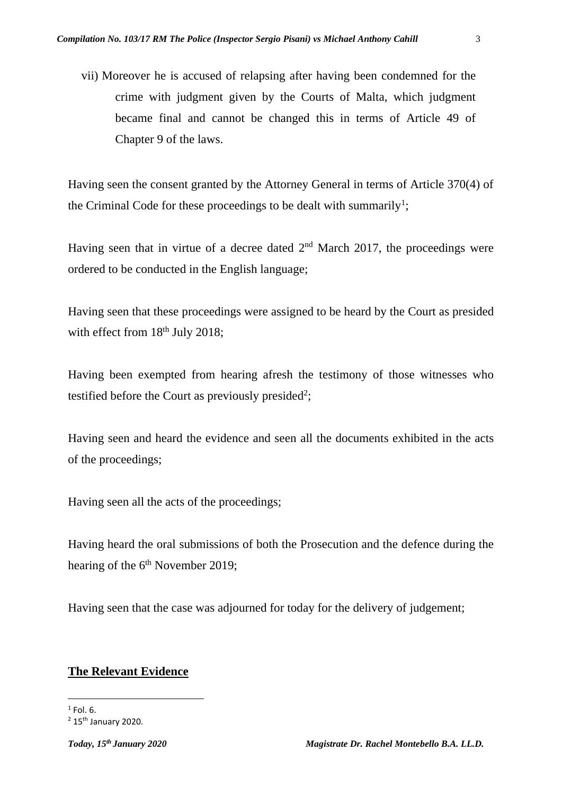vii) Moreover he is accused of relapsing after having been condemned for the crime with judgment given by the Courts of Malta, which judgment became final and cannot be changed this in terms of Article 49 of Chapter 9 of the laws.

Having seen the consent granted by the Attorney General in terms of Article 370(4) of the Criminal Code for these proceedings to be dealt with summarily<sup>1</sup>;

Having seen that in virtue of a decree dated  $2<sup>nd</sup>$  March 2017, the proceedings were ordered to be conducted in the English language;

Having seen that these proceedings were assigned to be heard by the Court as presided with effect from 18<sup>th</sup> July 2018;

Having been exempted from hearing afresh the testimony of those witnesses who testified before the Court as previously presided<sup>2</sup>;

Having seen and heard the evidence and seen all the documents exhibited in the acts of the proceedings;

Having seen all the acts of the proceedings;

Having heard the oral submissions of both the Prosecution and the defence during the hearing of the 6<sup>th</sup> November 2019;

Having seen that the case was adjourned for today for the delivery of judgement;

# **The Relevant Evidence**

 $<sup>1</sup>$  Fol. 6.</sup>

 $2$  15<sup>th</sup> January 2020.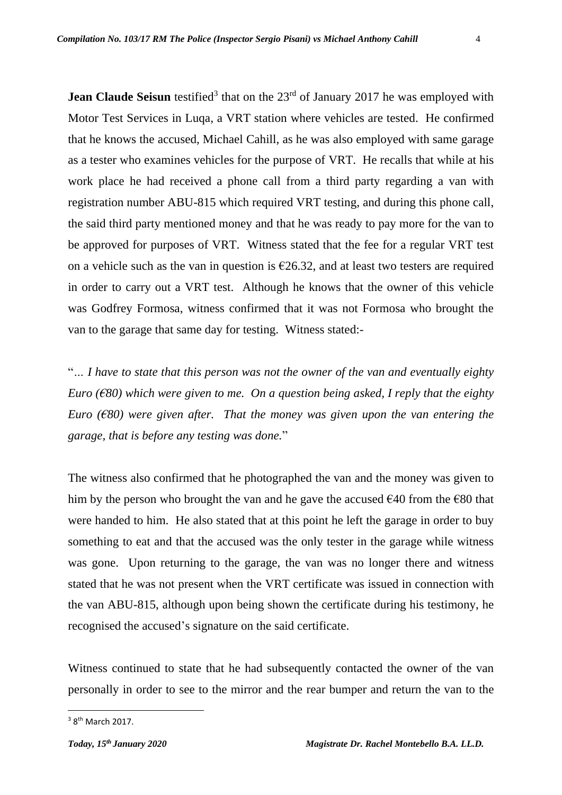**Jean Claude Seisun** testified<sup>3</sup> that on the 23<sup>rd</sup> of January 2017 he was employed with Motor Test Services in Luqa, a VRT station where vehicles are tested. He confirmed that he knows the accused, Michael Cahill, as he was also employed with same garage as a tester who examines vehicles for the purpose of VRT. He recalls that while at his work place he had received a phone call from a third party regarding a van with registration number ABU-815 which required VRT testing, and during this phone call, the said third party mentioned money and that he was ready to pay more for the van to be approved for purposes of VRT. Witness stated that the fee for a regular VRT test on a vehicle such as the van in question is  $\epsilon$ 26.32, and at least two testers are required in order to carry out a VRT test. Although he knows that the owner of this vehicle was Godfrey Formosa, witness confirmed that it was not Formosa who brought the van to the garage that same day for testing. Witness stated:-

"*… I have to state that this person was not the owner of the van and eventually eighty Euro (€80) which were given to me. On a question being asked, I reply that the eighty Euro (€80) were given after. That the money was given upon the van entering the garage, that is before any testing was done.*"

The witness also confirmed that he photographed the van and the money was given to him by the person who brought the van and he gave the accused  $\epsilon$ 40 from the  $\epsilon$ 80 that were handed to him. He also stated that at this point he left the garage in order to buy something to eat and that the accused was the only tester in the garage while witness was gone. Upon returning to the garage, the van was no longer there and witness stated that he was not present when the VRT certificate was issued in connection with the van ABU-815, although upon being shown the certificate during his testimony, he recognised the accused's signature on the said certificate.

Witness continued to state that he had subsequently contacted the owner of the van personally in order to see to the mirror and the rear bumper and return the van to the

 $3$  8<sup>th</sup> March 2017.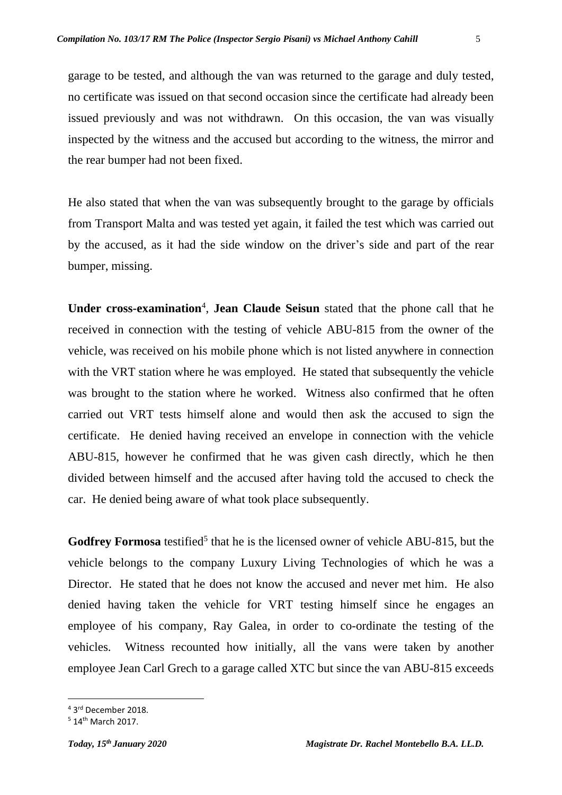garage to be tested, and although the van was returned to the garage and duly tested, no certificate was issued on that second occasion since the certificate had already been issued previously and was not withdrawn. On this occasion, the van was visually inspected by the witness and the accused but according to the witness, the mirror and the rear bumper had not been fixed.

He also stated that when the van was subsequently brought to the garage by officials from Transport Malta and was tested yet again, it failed the test which was carried out by the accused, as it had the side window on the driver's side and part of the rear bumper, missing.

Under cross-examination<sup>4</sup>, Jean Claude Seisun stated that the phone call that he received in connection with the testing of vehicle ABU-815 from the owner of the vehicle, was received on his mobile phone which is not listed anywhere in connection with the VRT station where he was employed. He stated that subsequently the vehicle was brought to the station where he worked. Witness also confirmed that he often carried out VRT tests himself alone and would then ask the accused to sign the certificate. He denied having received an envelope in connection with the vehicle ABU-815, however he confirmed that he was given cash directly, which he then divided between himself and the accused after having told the accused to check the car. He denied being aware of what took place subsequently.

Godfrey Formosa testified<sup>5</sup> that he is the licensed owner of vehicle ABU-815, but the vehicle belongs to the company Luxury Living Technologies of which he was a Director. He stated that he does not know the accused and never met him. He also denied having taken the vehicle for VRT testing himself since he engages an employee of his company, Ray Galea, in order to co-ordinate the testing of the vehicles. Witness recounted how initially, all the vans were taken by another employee Jean Carl Grech to a garage called XTC but since the van ABU-815 exceeds

<sup>4</sup> 3 rd December 2018.

<sup>5</sup> 14th March 2017.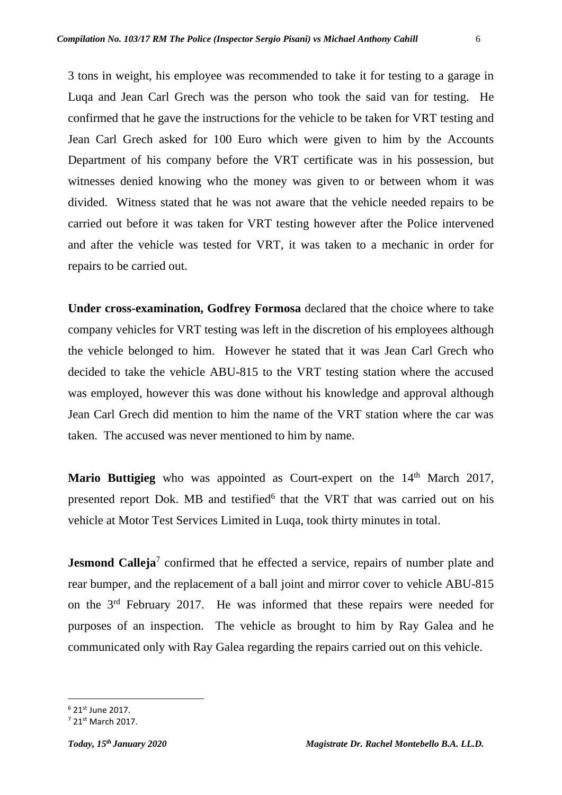3 tons in weight, his employee was recommended to take it for testing to a garage in Luqa and Jean Carl Grech was the person who took the said van for testing. He confirmed that he gave the instructions for the vehicle to be taken for VRT testing and Jean Carl Grech asked for 100 Euro which were given to him by the Accounts Department of his company before the VRT certificate was in his possession, but witnesses denied knowing who the money was given to or between whom it was divided. Witness stated that he was not aware that the vehicle needed repairs to be carried out before it was taken for VRT testing however after the Police intervened and after the vehicle was tested for VRT, it was taken to a mechanic in order for repairs to be carried out.

**Under cross-examination, Godfrey Formosa** declared that the choice where to take company vehicles for VRT testing was left in the discretion of his employees although the vehicle belonged to him. However he stated that it was Jean Carl Grech who decided to take the vehicle ABU-815 to the VRT testing station where the accused was employed, however this was done without his knowledge and approval although Jean Carl Grech did mention to him the name of the VRT station where the car was taken. The accused was never mentioned to him by name.

Mario Buttigieg who was appointed as Court-expert on the 14<sup>th</sup> March 2017, presented report Dok. MB and testified<sup>6</sup> that the VRT that was carried out on his vehicle at Motor Test Services Limited in Luqa, took thirty minutes in total.

**Jesmond Calleja**<sup>7</sup> confirmed that he effected a service, repairs of number plate and rear bumper, and the replacement of a ball joint and mirror cover to vehicle ABU-815 on the 3rd February 2017. He was informed that these repairs were needed for purposes of an inspection. The vehicle as brought to him by Ray Galea and he communicated only with Ray Galea regarding the repairs carried out on this vehicle.

<sup>6</sup> 21st June 2017.

<sup>7</sup> 21st March 2017.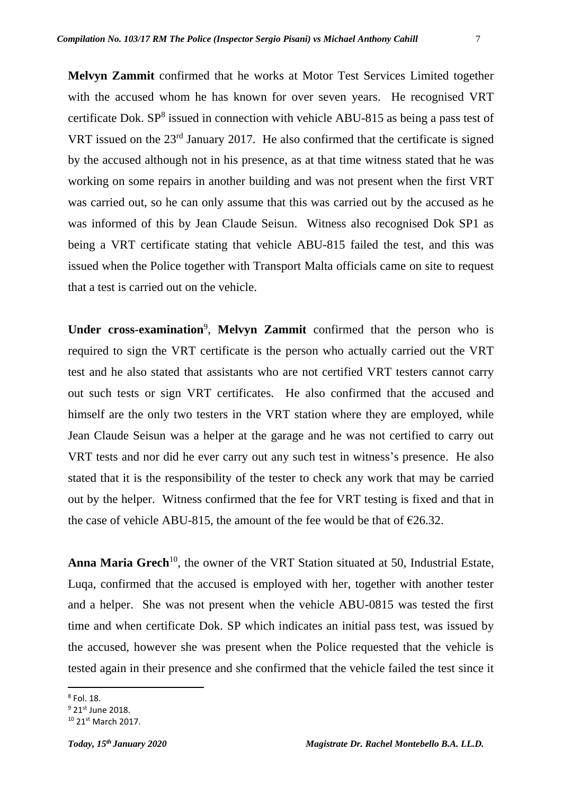**Melvyn Zammit** confirmed that he works at Motor Test Services Limited together with the accused whom he has known for over seven years. He recognised VRT certificate Dok.  $SP^8$  issued in connection with vehicle ABU-815 as being a pass test of VRT issued on the 23rd January 2017. He also confirmed that the certificate is signed by the accused although not in his presence, as at that time witness stated that he was working on some repairs in another building and was not present when the first VRT was carried out, so he can only assume that this was carried out by the accused as he was informed of this by Jean Claude Seisun. Witness also recognised Dok SP1 as being a VRT certificate stating that vehicle ABU-815 failed the test, and this was issued when the Police together with Transport Malta officials came on site to request that a test is carried out on the vehicle.

Under cross-examination<sup>9</sup>, Melvyn Zammit confirmed that the person who is required to sign the VRT certificate is the person who actually carried out the VRT test and he also stated that assistants who are not certified VRT testers cannot carry out such tests or sign VRT certificates. He also confirmed that the accused and himself are the only two testers in the VRT station where they are employed, while Jean Claude Seisun was a helper at the garage and he was not certified to carry out VRT tests and nor did he ever carry out any such test in witness's presence. He also stated that it is the responsibility of the tester to check any work that may be carried out by the helper. Witness confirmed that the fee for VRT testing is fixed and that in the case of vehicle ABU-815, the amount of the fee would be that of  $\epsilon$ 26.32.

Anna Maria Grech<sup>10</sup>, the owner of the VRT Station situated at 50, Industrial Estate, Luqa, confirmed that the accused is employed with her, together with another tester and a helper. She was not present when the vehicle ABU-0815 was tested the first time and when certificate Dok. SP which indicates an initial pass test, was issued by the accused, however she was present when the Police requested that the vehicle is tested again in their presence and she confirmed that the vehicle failed the test since it

<sup>8</sup> Fol. 18.

<sup>&</sup>lt;sup>9</sup> 21st June 2018.

<sup>10</sup> 21st March 2017.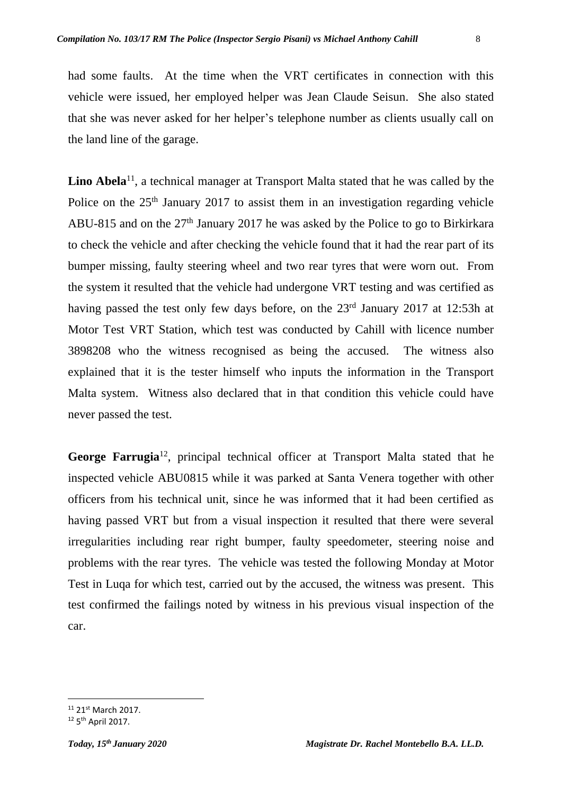had some faults. At the time when the VRT certificates in connection with this vehicle were issued, her employed helper was Jean Claude Seisun. She also stated that she was never asked for her helper's telephone number as clients usually call on the land line of the garage.

Lino Abela<sup>11</sup>, a technical manager at Transport Malta stated that he was called by the Police on the  $25<sup>th</sup>$  January 2017 to assist them in an investigation regarding vehicle ABU-815 and on the  $27<sup>th</sup>$  January 2017 he was asked by the Police to go to Birkirkara to check the vehicle and after checking the vehicle found that it had the rear part of its bumper missing, faulty steering wheel and two rear tyres that were worn out. From the system it resulted that the vehicle had undergone VRT testing and was certified as having passed the test only few days before, on the 23<sup>rd</sup> January 2017 at 12:53h at Motor Test VRT Station, which test was conducted by Cahill with licence number 3898208 who the witness recognised as being the accused. The witness also explained that it is the tester himself who inputs the information in the Transport Malta system. Witness also declared that in that condition this vehicle could have never passed the test.

**George Farrugia**<sup>12</sup>, principal technical officer at Transport Malta stated that he inspected vehicle ABU0815 while it was parked at Santa Venera together with other officers from his technical unit, since he was informed that it had been certified as having passed VRT but from a visual inspection it resulted that there were several irregularities including rear right bumper, faulty speedometer, steering noise and problems with the rear tyres. The vehicle was tested the following Monday at Motor Test in Luqa for which test, carried out by the accused, the witness was present. This test confirmed the failings noted by witness in his previous visual inspection of the car.

<sup>&</sup>lt;sup>11</sup> 21<sup>st</sup> March 2017.

<sup>&</sup>lt;sup>12</sup> 5<sup>th</sup> April 2017.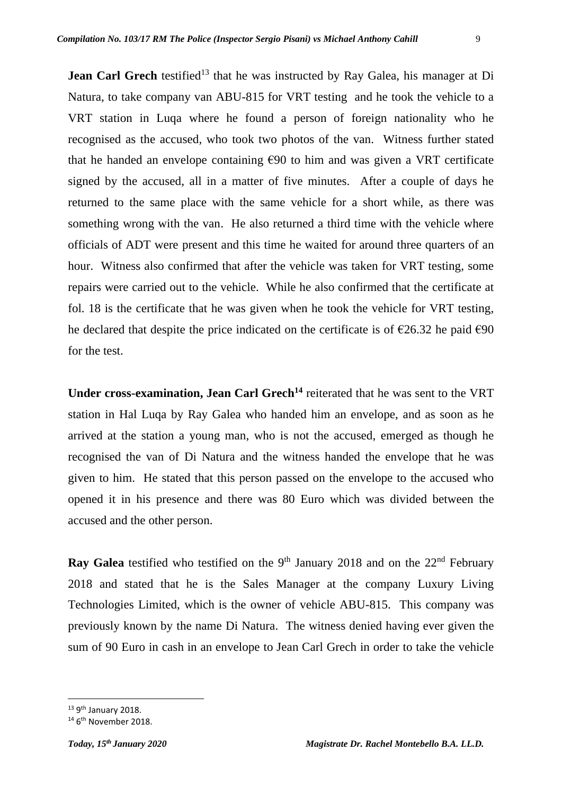**Jean Carl Grech** testified<sup>13</sup> that he was instructed by Ray Galea, his manager at Di Natura, to take company van ABU-815 for VRT testing and he took the vehicle to a VRT station in Luqa where he found a person of foreign nationality who he recognised as the accused, who took two photos of the van. Witness further stated that he handed an envelope containing  $\epsilon$ 90 to him and was given a VRT certificate signed by the accused, all in a matter of five minutes. After a couple of days he returned to the same place with the same vehicle for a short while, as there was something wrong with the van. He also returned a third time with the vehicle where officials of ADT were present and this time he waited for around three quarters of an hour. Witness also confirmed that after the vehicle was taken for VRT testing, some repairs were carried out to the vehicle. While he also confirmed that the certificate at fol. 18 is the certificate that he was given when he took the vehicle for VRT testing, he declared that despite the price indicated on the certificate is of  $\epsilon$ 26.32 he paid  $\epsilon$ 90 for the test.

**Under cross-examination, Jean Carl Grech<sup>14</sup>** reiterated that he was sent to the VRT station in Hal Luqa by Ray Galea who handed him an envelope, and as soon as he arrived at the station a young man, who is not the accused, emerged as though he recognised the van of Di Natura and the witness handed the envelope that he was given to him. He stated that this person passed on the envelope to the accused who opened it in his presence and there was 80 Euro which was divided between the accused and the other person.

**Ray Galea** testified who testified on the 9<sup>th</sup> January 2018 and on the 22<sup>nd</sup> February 2018 and stated that he is the Sales Manager at the company Luxury Living Technologies Limited, which is the owner of vehicle ABU-815. This company was previously known by the name Di Natura. The witness denied having ever given the sum of 90 Euro in cash in an envelope to Jean Carl Grech in order to take the vehicle

<sup>&</sup>lt;sup>13</sup> 9<sup>th</sup> January 2018.

<sup>&</sup>lt;sup>14</sup> 6<sup>th</sup> November 2018.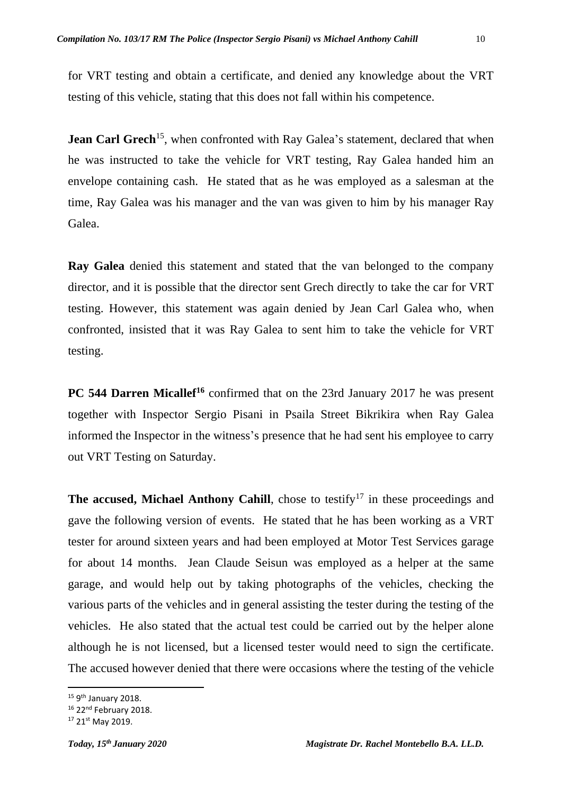for VRT testing and obtain a certificate, and denied any knowledge about the VRT testing of this vehicle, stating that this does not fall within his competence.

**Jean Carl Grech**<sup>15</sup>, when confronted with Ray Galea's statement, declared that when he was instructed to take the vehicle for VRT testing, Ray Galea handed him an envelope containing cash. He stated that as he was employed as a salesman at the time, Ray Galea was his manager and the van was given to him by his manager Ray Galea.

**Ray Galea** denied this statement and stated that the van belonged to the company director, and it is possible that the director sent Grech directly to take the car for VRT testing. However, this statement was again denied by Jean Carl Galea who, when confronted, insisted that it was Ray Galea to sent him to take the vehicle for VRT testing.

**PC 544 Darren Micallef<sup>16</sup>** confirmed that on the 23rd January 2017 he was present together with Inspector Sergio Pisani in Psaila Street Bikrikira when Ray Galea informed the Inspector in the witness's presence that he had sent his employee to carry out VRT Testing on Saturday.

**The accused, Michael Anthony Cahill**, chose to testify<sup>17</sup> in these proceedings and gave the following version of events. He stated that he has been working as a VRT tester for around sixteen years and had been employed at Motor Test Services garage for about 14 months. Jean Claude Seisun was employed as a helper at the same garage, and would help out by taking photographs of the vehicles, checking the various parts of the vehicles and in general assisting the tester during the testing of the vehicles. He also stated that the actual test could be carried out by the helper alone although he is not licensed, but a licensed tester would need to sign the certificate. The accused however denied that there were occasions where the testing of the vehicle

<sup>&</sup>lt;sup>15</sup> 9<sup>th</sup> January 2018.

<sup>&</sup>lt;sup>16</sup> 22<sup>nd</sup> February 2018.

<sup>&</sup>lt;sup>17</sup> 21<sup>st</sup> May 2019.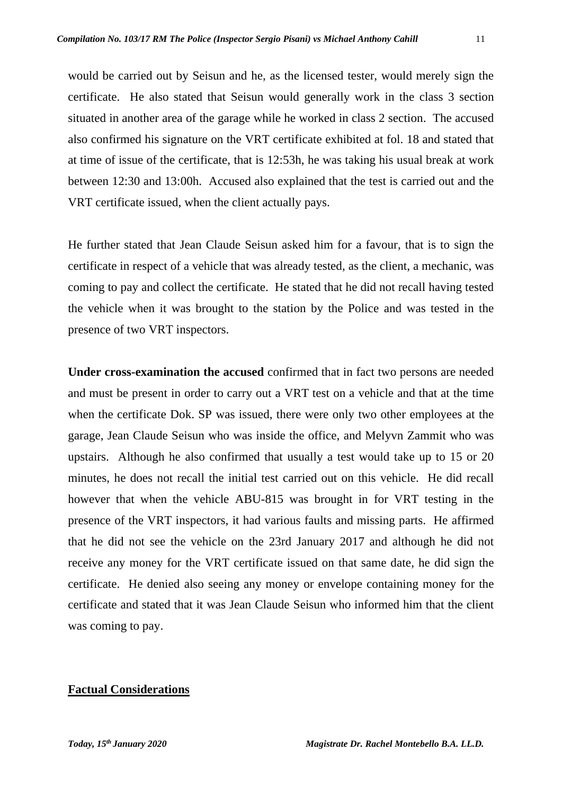would be carried out by Seisun and he, as the licensed tester, would merely sign the certificate. He also stated that Seisun would generally work in the class 3 section situated in another area of the garage while he worked in class 2 section. The accused also confirmed his signature on the VRT certificate exhibited at fol. 18 and stated that at time of issue of the certificate, that is 12:53h, he was taking his usual break at work between 12:30 and 13:00h. Accused also explained that the test is carried out and the VRT certificate issued, when the client actually pays.

He further stated that Jean Claude Seisun asked him for a favour, that is to sign the certificate in respect of a vehicle that was already tested, as the client, a mechanic, was coming to pay and collect the certificate. He stated that he did not recall having tested the vehicle when it was brought to the station by the Police and was tested in the presence of two VRT inspectors.

**Under cross-examination the accused** confirmed that in fact two persons are needed and must be present in order to carry out a VRT test on a vehicle and that at the time when the certificate Dok. SP was issued, there were only two other employees at the garage, Jean Claude Seisun who was inside the office, and Melyvn Zammit who was upstairs. Although he also confirmed that usually a test would take up to 15 or 20 minutes, he does not recall the initial test carried out on this vehicle. He did recall however that when the vehicle ABU-815 was brought in for VRT testing in the presence of the VRT inspectors, it had various faults and missing parts. He affirmed that he did not see the vehicle on the 23rd January 2017 and although he did not receive any money for the VRT certificate issued on that same date, he did sign the certificate. He denied also seeing any money or envelope containing money for the certificate and stated that it was Jean Claude Seisun who informed him that the client was coming to pay.

### **Factual Considerations**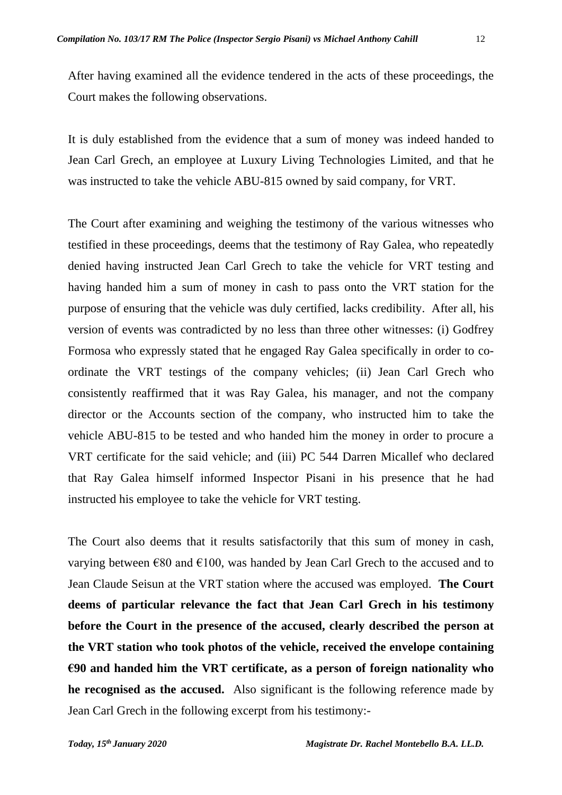After having examined all the evidence tendered in the acts of these proceedings, the Court makes the following observations.

It is duly established from the evidence that a sum of money was indeed handed to Jean Carl Grech, an employee at Luxury Living Technologies Limited, and that he was instructed to take the vehicle ABU-815 owned by said company, for VRT.

The Court after examining and weighing the testimony of the various witnesses who testified in these proceedings, deems that the testimony of Ray Galea, who repeatedly denied having instructed Jean Carl Grech to take the vehicle for VRT testing and having handed him a sum of money in cash to pass onto the VRT station for the purpose of ensuring that the vehicle was duly certified, lacks credibility. After all, his version of events was contradicted by no less than three other witnesses: (i) Godfrey Formosa who expressly stated that he engaged Ray Galea specifically in order to coordinate the VRT testings of the company vehicles; (ii) Jean Carl Grech who consistently reaffirmed that it was Ray Galea, his manager, and not the company director or the Accounts section of the company, who instructed him to take the vehicle ABU-815 to be tested and who handed him the money in order to procure a VRT certificate for the said vehicle; and (iii) PC 544 Darren Micallef who declared that Ray Galea himself informed Inspector Pisani in his presence that he had instructed his employee to take the vehicle for VRT testing.

The Court also deems that it results satisfactorily that this sum of money in cash, varying between  $\epsilon$ 80 and  $\epsilon$ 100, was handed by Jean Carl Grech to the accused and to Jean Claude Seisun at the VRT station where the accused was employed. **The Court deems of particular relevance the fact that Jean Carl Grech in his testimony before the Court in the presence of the accused, clearly described the person at the VRT station who took photos of the vehicle, received the envelope containing €90 and handed him the VRT certificate, as a person of foreign nationality who he recognised as the accused.** Also significant is the following reference made by Jean Carl Grech in the following excerpt from his testimony:-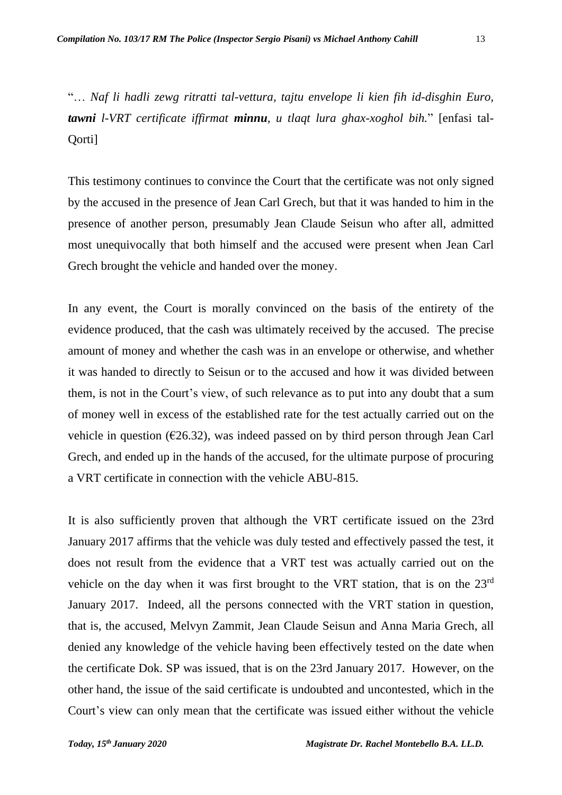"… *Naf li hadli zewg ritratti tal-vettura, tajtu envelope li kien fih id-disghin Euro, tawni l-VRT certificate iffirmat minnu, u tlaqt lura ghax-xoghol bih.*" [enfasi tal-Qorti]

This testimony continues to convince the Court that the certificate was not only signed by the accused in the presence of Jean Carl Grech, but that it was handed to him in the presence of another person, presumably Jean Claude Seisun who after all, admitted most unequivocally that both himself and the accused were present when Jean Carl Grech brought the vehicle and handed over the money.

In any event, the Court is morally convinced on the basis of the entirety of the evidence produced, that the cash was ultimately received by the accused. The precise amount of money and whether the cash was in an envelope or otherwise, and whether it was handed to directly to Seisun or to the accused and how it was divided between them, is not in the Court's view, of such relevance as to put into any doubt that a sum of money well in excess of the established rate for the test actually carried out on the vehicle in question ( $\epsilon$ 26.32), was indeed passed on by third person through Jean Carl Grech, and ended up in the hands of the accused, for the ultimate purpose of procuring a VRT certificate in connection with the vehicle ABU-815.

It is also sufficiently proven that although the VRT certificate issued on the 23rd January 2017 affirms that the vehicle was duly tested and effectively passed the test, it does not result from the evidence that a VRT test was actually carried out on the vehicle on the day when it was first brought to the VRT station, that is on the 23rd January 2017. Indeed, all the persons connected with the VRT station in question, that is, the accused, Melvyn Zammit, Jean Claude Seisun and Anna Maria Grech, all denied any knowledge of the vehicle having been effectively tested on the date when the certificate Dok. SP was issued, that is on the 23rd January 2017. However, on the other hand, the issue of the said certificate is undoubted and uncontested, which in the Court's view can only mean that the certificate was issued either without the vehicle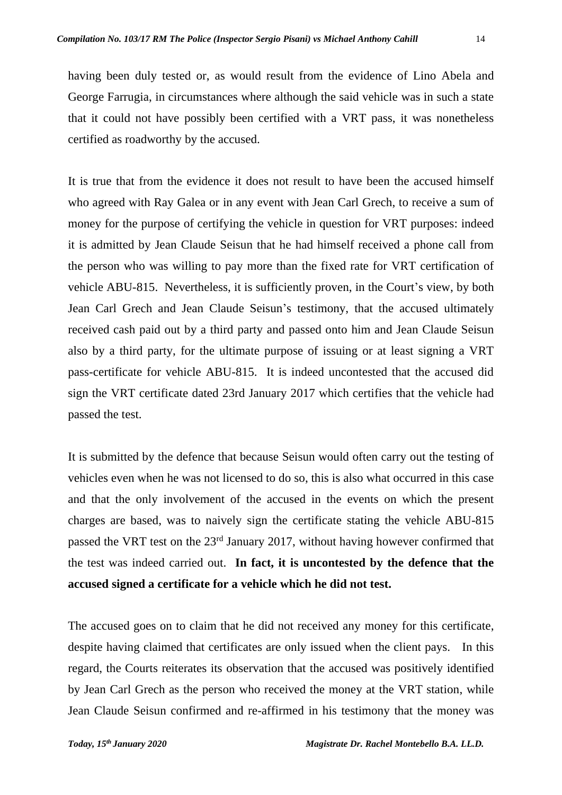having been duly tested or, as would result from the evidence of Lino Abela and George Farrugia, in circumstances where although the said vehicle was in such a state that it could not have possibly been certified with a VRT pass, it was nonetheless certified as roadworthy by the accused.

It is true that from the evidence it does not result to have been the accused himself who agreed with Ray Galea or in any event with Jean Carl Grech, to receive a sum of money for the purpose of certifying the vehicle in question for VRT purposes: indeed it is admitted by Jean Claude Seisun that he had himself received a phone call from the person who was willing to pay more than the fixed rate for VRT certification of vehicle ABU-815. Nevertheless, it is sufficiently proven, in the Court's view, by both Jean Carl Grech and Jean Claude Seisun's testimony, that the accused ultimately received cash paid out by a third party and passed onto him and Jean Claude Seisun also by a third party, for the ultimate purpose of issuing or at least signing a VRT pass-certificate for vehicle ABU-815. It is indeed uncontested that the accused did sign the VRT certificate dated 23rd January 2017 which certifies that the vehicle had passed the test.

It is submitted by the defence that because Seisun would often carry out the testing of vehicles even when he was not licensed to do so, this is also what occurred in this case and that the only involvement of the accused in the events on which the present charges are based, was to naively sign the certificate stating the vehicle ABU-815 passed the VRT test on the 23rd January 2017, without having however confirmed that the test was indeed carried out. **In fact, it is uncontested by the defence that the accused signed a certificate for a vehicle which he did not test.**

The accused goes on to claim that he did not received any money for this certificate, despite having claimed that certificates are only issued when the client pays. In this regard, the Courts reiterates its observation that the accused was positively identified by Jean Carl Grech as the person who received the money at the VRT station, while Jean Claude Seisun confirmed and re-affirmed in his testimony that the money was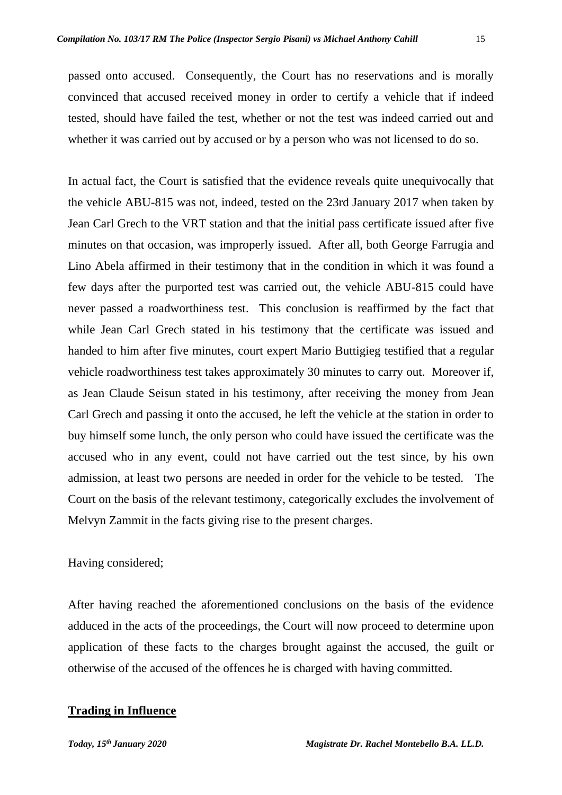passed onto accused. Consequently, the Court has no reservations and is morally convinced that accused received money in order to certify a vehicle that if indeed tested, should have failed the test, whether or not the test was indeed carried out and whether it was carried out by accused or by a person who was not licensed to do so.

In actual fact, the Court is satisfied that the evidence reveals quite unequivocally that the vehicle ABU-815 was not, indeed, tested on the 23rd January 2017 when taken by Jean Carl Grech to the VRT station and that the initial pass certificate issued after five minutes on that occasion, was improperly issued. After all, both George Farrugia and Lino Abela affirmed in their testimony that in the condition in which it was found a few days after the purported test was carried out, the vehicle ABU-815 could have never passed a roadworthiness test. This conclusion is reaffirmed by the fact that while Jean Carl Grech stated in his testimony that the certificate was issued and handed to him after five minutes, court expert Mario Buttigieg testified that a regular vehicle roadworthiness test takes approximately 30 minutes to carry out. Moreover if, as Jean Claude Seisun stated in his testimony, after receiving the money from Jean Carl Grech and passing it onto the accused, he left the vehicle at the station in order to buy himself some lunch, the only person who could have issued the certificate was the accused who in any event, could not have carried out the test since, by his own admission, at least two persons are needed in order for the vehicle to be tested. The Court on the basis of the relevant testimony, categorically excludes the involvement of Melvyn Zammit in the facts giving rise to the present charges.

## Having considered;

After having reached the aforementioned conclusions on the basis of the evidence adduced in the acts of the proceedings, the Court will now proceed to determine upon application of these facts to the charges brought against the accused, the guilt or otherwise of the accused of the offences he is charged with having committed.

## **Trading in Influence**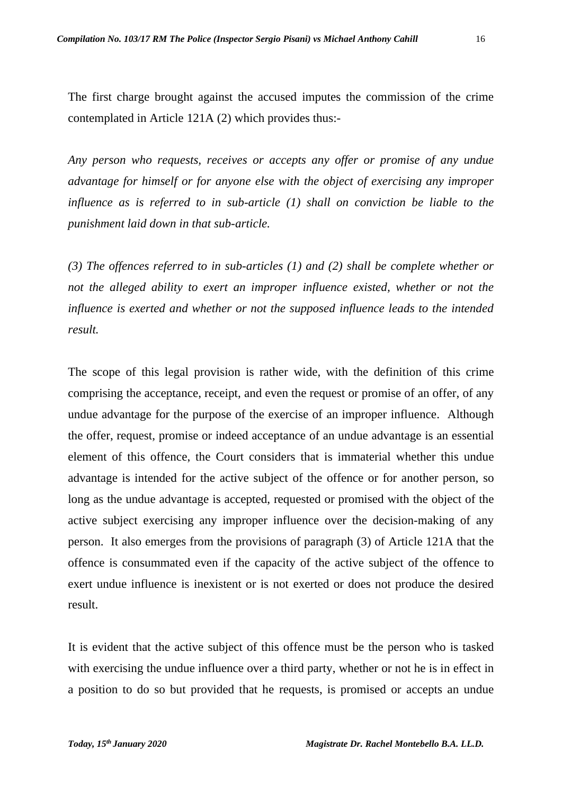The first charge brought against the accused imputes the commission of the crime contemplated in Article 121A (2) which provides thus:-

*Any person who requests, receives or accepts any offer or promise of any undue advantage for himself or for anyone else with the object of exercising any improper influence as is referred to in sub-article (1) shall on conviction be liable to the punishment laid down in that sub-article.*

*(3) The offences referred to in sub-articles (1) and (2) shall be complete whether or not the alleged ability to exert an improper influence existed, whether or not the influence is exerted and whether or not the supposed influence leads to the intended result.*

The scope of this legal provision is rather wide, with the definition of this crime comprising the acceptance, receipt, and even the request or promise of an offer, of any undue advantage for the purpose of the exercise of an improper influence. Although the offer, request, promise or indeed acceptance of an undue advantage is an essential element of this offence, the Court considers that is immaterial whether this undue advantage is intended for the active subject of the offence or for another person, so long as the undue advantage is accepted, requested or promised with the object of the active subject exercising any improper influence over the decision-making of any person. It also emerges from the provisions of paragraph (3) of Article 121A that the offence is consummated even if the capacity of the active subject of the offence to exert undue influence is inexistent or is not exerted or does not produce the desired result.

It is evident that the active subject of this offence must be the person who is tasked with exercising the undue influence over a third party, whether or not he is in effect in a position to do so but provided that he requests, is promised or accepts an undue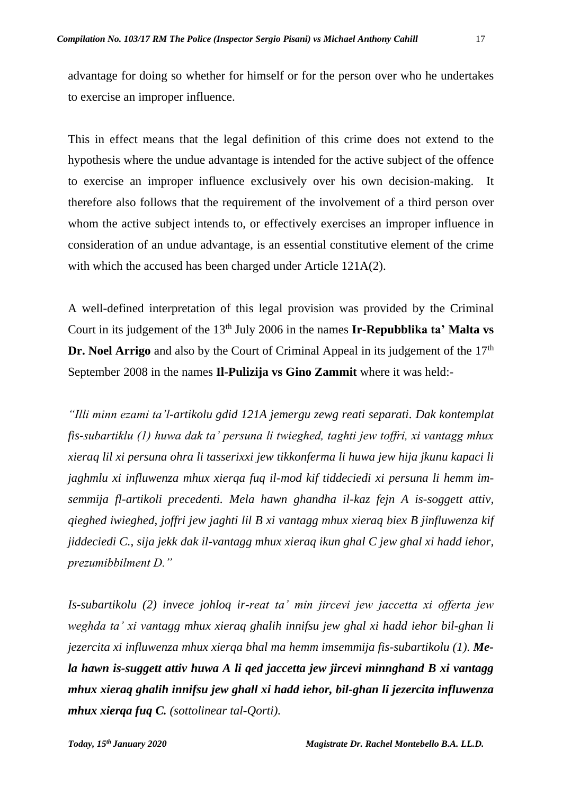advantage for doing so whether for himself or for the person over who he undertakes to exercise an improper influence.

This in effect means that the legal definition of this crime does not extend to the hypothesis where the undue advantage is intended for the active subject of the offence to exercise an improper influence exclusively over his own decision-making. It therefore also follows that the requirement of the involvement of a third person over whom the active subject intends to, or effectively exercises an improper influence in consideration of an undue advantage, is an essential constitutive element of the crime with which the accused has been charged under Article 121A(2).

A well-defined interpretation of this legal provision was provided by the Criminal Court in its judgement of the 13<sup>th</sup> July 2006 in the names **Ir-Repubblika ta' Malta vs Dr. Noel Arrigo** and also by the Court of Criminal Appeal in its judgement of the 17<sup>th</sup> September 2008 in the names **Il-Pulizija vs Gino Zammit** where it was held:-

*"Illi minn ezami ta'l-artikolu gdid 121A jemergu zewg reati separati. Dak kontemplat fis-subartiklu (1) huwa dak ta' persuna li twieghed, taghti jew toffri, xi vantagg mhux xieraq lil xi persuna ohra li tasserixxi jew tikkonferma li huwa jew hija jkunu kapaci li jaghmlu xi influwenza mhux xierqa fuq il-mod kif tiddeciedi xi persuna li hemm imsemmija fl-artikoli precedenti. Mela hawn ghandha il-kaz fejn A is-soggett attiv, qieghed iwieghed, joffri jew jaghti lil B xi vantagg mhux xieraq biex B jinfluwenza kif jiddeciedi C., sija jekk dak il-vantagg mhux xieraq ikun ghal C jew ghal xi hadd iehor, prezumibbilment D."* 

*Is-subartikolu (2) invece johloq ir-reat ta' min jircevi jew jaccetta xi offerta jew weghda ta' xi vantagg mhux xieraq ghalih innifsu jew ghal xi hadd iehor bil-ghan li jezercita xi influwenza mhux xierqa bhal ma hemm imsemmija fis-subartikolu (1). Mela hawn is-suggett attiv huwa A li qed jaccetta jew jircevi minnghand B xi vantagg mhux xieraq ghalih innifsu jew ghall xi hadd iehor, bil-ghan li jezercita influwenza mhux xierqa fuq C. (sottolinear tal-Qorti).*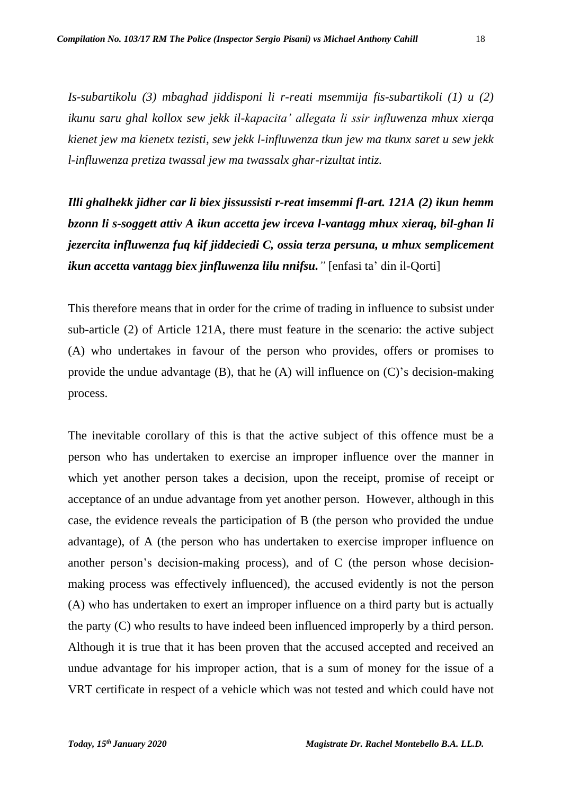*Is-subartikolu (3) mbaghad jiddisponi li r-reati msemmija fis-subartikoli (1) u (2) ikunu saru ghal kollox sew jekk il-kapacita' allegata li ssir influwenza mhux xierqa kienet jew ma kienetx tezisti, sew jekk l-influwenza tkun jew ma tkunx saret u sew jekk l-influwenza pretiza twassal jew ma twassalx ghar-rizultat intiz.* 

*Illi ghalhekk jidher car li biex jissussisti r-reat imsemmi fl-art. 121A (2) ikun hemm bzonn li s-soggett attiv A ikun accetta jew irceva l-vantagg mhux xieraq, bil-ghan li jezercita influwenza fuq kif jiddeciedi C, ossia terza persuna, u mhux semplicement ikun accetta vantagg biex jinfluwenza lilu nnifsu."* [enfasi ta' din il-Qorti]

This therefore means that in order for the crime of trading in influence to subsist under sub-article (2) of Article 121A, there must feature in the scenario: the active subject (A) who undertakes in favour of the person who provides, offers or promises to provide the undue advantage (B), that he (A) will influence on (C)'s decision-making process.

The inevitable corollary of this is that the active subject of this offence must be a person who has undertaken to exercise an improper influence over the manner in which yet another person takes a decision, upon the receipt, promise of receipt or acceptance of an undue advantage from yet another person. However, although in this case, the evidence reveals the participation of B (the person who provided the undue advantage), of A (the person who has undertaken to exercise improper influence on another person's decision-making process), and of C (the person whose decisionmaking process was effectively influenced), the accused evidently is not the person (A) who has undertaken to exert an improper influence on a third party but is actually the party (C) who results to have indeed been influenced improperly by a third person. Although it is true that it has been proven that the accused accepted and received an undue advantage for his improper action, that is a sum of money for the issue of a VRT certificate in respect of a vehicle which was not tested and which could have not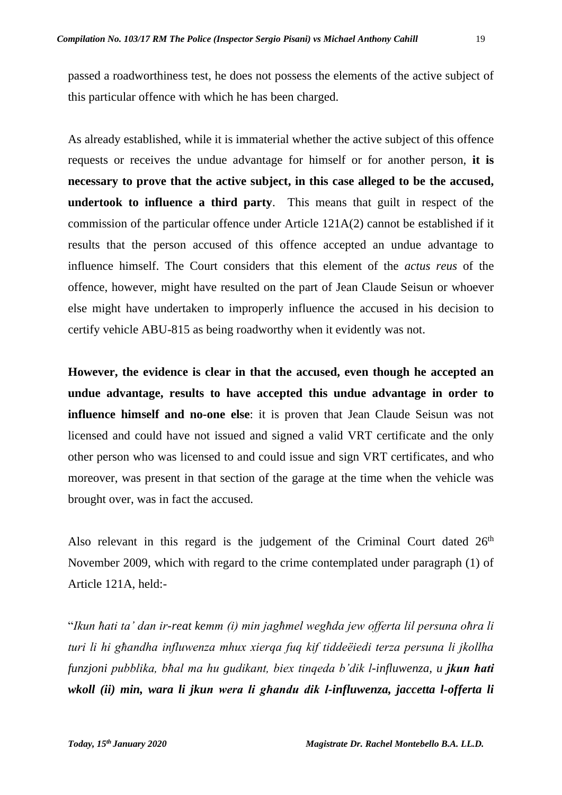passed a roadworthiness test, he does not possess the elements of the active subject of this particular offence with which he has been charged.

As already established, while it is immaterial whether the active subject of this offence requests or receives the undue advantage for himself or for another person, **it is necessary to prove that the active subject, in this case alleged to be the accused, undertook to influence a third party**. This means that guilt in respect of the commission of the particular offence under Article 121A(2) cannot be established if it results that the person accused of this offence accepted an undue advantage to influence himself. The Court considers that this element of the *actus reus* of the offence, however, might have resulted on the part of Jean Claude Seisun or whoever else might have undertaken to improperly influence the accused in his decision to certify vehicle ABU-815 as being roadworthy when it evidently was not.

**However, the evidence is clear in that the accused, even though he accepted an undue advantage, results to have accepted this undue advantage in order to influence himself and no-one else**: it is proven that Jean Claude Seisun was not licensed and could have not issued and signed a valid VRT certificate and the only other person who was licensed to and could issue and sign VRT certificates, and who moreover, was present in that section of the garage at the time when the vehicle was brought over, was in fact the accused.

Also relevant in this regard is the judgement of the Criminal Court dated  $26<sup>th</sup>$ November 2009, which with regard to the crime contemplated under paragraph (1) of Article 121A, held:-

"*Ikun ħati ta' dan ir-reat kemm (i) min jagħmel wegħda jew offerta lil persuna oħra li turi li hi għandha influwenza mhux xierqa fuq kif tiddeëiedi terza persuna li jkollha funzjoni pubblika, bħal ma hu gudikant, biex tinqeda b'dik l-influwenza, u jkun ħati wkoll (ii) min, wara li jkun wera li għandu dik l-influwenza, jaccetta l-offerta li*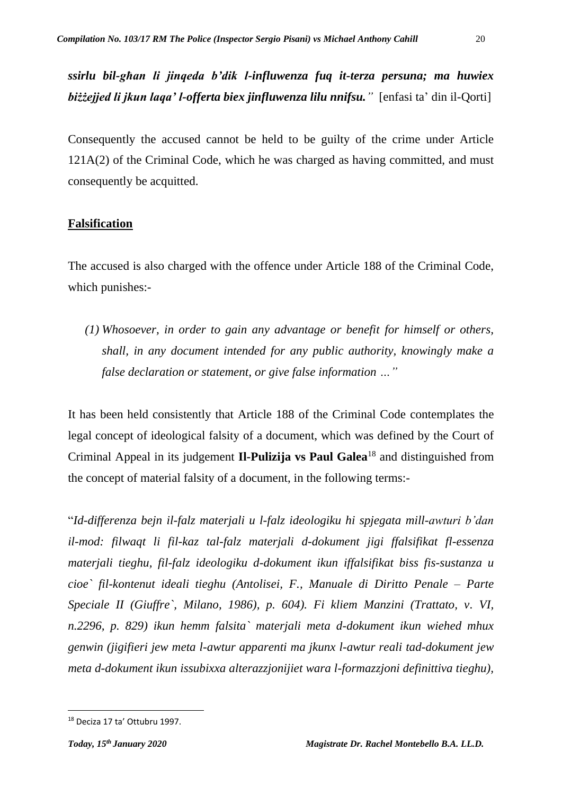*ssirlu bil-għan li jinqeda b'dik l-influwenza fuq it-terza persuna; ma huwiex biżżejjed li jkun laqa' l-offerta biex jinfluwenza lilu nnifsu."* [enfasi ta' din il-Qorti]

Consequently the accused cannot be held to be guilty of the crime under Article 121A(2) of the Criminal Code, which he was charged as having committed, and must consequently be acquitted.

## **Falsification**

The accused is also charged with the offence under Article 188 of the Criminal Code, which punishes:-

*(1) Whosoever, in order to gain any advantage or benefit for himself or others, shall, in any document intended for any public authority, knowingly make a false declaration or statement, or give false information …"*

It has been held consistently that Article 188 of the Criminal Code contemplates the legal concept of ideological falsity of a document, which was defined by the Court of Criminal Appeal in its judgement **Il-Pulizija vs Paul Galea**<sup>18</sup> and distinguished from the concept of material falsity of a document, in the following terms:-

"*Id-differenza bejn il-falz materjali u l-falz ideologiku hi spjegata mill-awturi b'dan il-mod: filwaqt li fil-kaz tal-falz materjali d-dokument jigi ffalsifikat fl-essenza materjali tieghu, fil-falz ideologiku d-dokument ikun iffalsifikat biss fis-sustanza u cioe` fil-kontenut ideali tieghu (Antolisei, F., Manuale di Diritto Penale – Parte Speciale II (Giuffre`, Milano, 1986), p. 604). Fi kliem Manzini (Trattato, v. VI, n.2296, p. 829) ikun hemm falsita` materjali meta d-dokument ikun wiehed mhux genwin (jigifieri jew meta l-awtur apparenti ma jkunx l-awtur reali tad-dokument jew meta d-dokument ikun issubixxa alterazzjonijiet wara l-formazzjoni definittiva tieghu),*

<sup>18</sup> Deciza 17 ta' Ottubru 1997.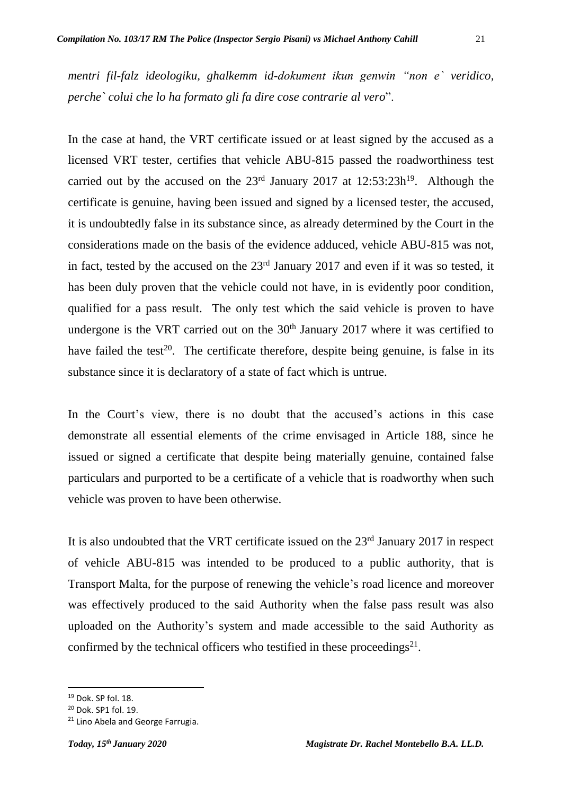*mentri fil-falz ideologiku, ghalkemm id-dokument ikun genwin "non e` veridico, perche` colui che lo ha formato gli fa dire cose contrarie al vero*".

In the case at hand, the VRT certificate issued or at least signed by the accused as a licensed VRT tester, certifies that vehicle ABU-815 passed the roadworthiness test carried out by the accused on the  $23<sup>rd</sup>$  January 2017 at  $12:53:23h<sup>19</sup>$ . Although the certificate is genuine, having been issued and signed by a licensed tester, the accused, it is undoubtedly false in its substance since, as already determined by the Court in the considerations made on the basis of the evidence adduced, vehicle ABU-815 was not, in fact, tested by the accused on the  $23<sup>rd</sup>$  January 2017 and even if it was so tested, it has been duly proven that the vehicle could not have, in is evidently poor condition, qualified for a pass result. The only test which the said vehicle is proven to have undergone is the VRT carried out on the  $30<sup>th</sup>$  January 2017 where it was certified to have failed the test<sup>20</sup>. The certificate therefore, despite being genuine, is false in its substance since it is declaratory of a state of fact which is untrue.

In the Court's view, there is no doubt that the accused's actions in this case demonstrate all essential elements of the crime envisaged in Article 188, since he issued or signed a certificate that despite being materially genuine, contained false particulars and purported to be a certificate of a vehicle that is roadworthy when such vehicle was proven to have been otherwise.

It is also undoubted that the VRT certificate issued on the  $23<sup>rd</sup>$  January 2017 in respect of vehicle ABU-815 was intended to be produced to a public authority, that is Transport Malta, for the purpose of renewing the vehicle's road licence and moreover was effectively produced to the said Authority when the false pass result was also uploaded on the Authority's system and made accessible to the said Authority as confirmed by the technical officers who testified in these proceedings $^{21}$ .

<sup>19</sup> Dok. SP fol. 18.

<sup>20</sup> Dok. SP1 fol. 19.

<sup>&</sup>lt;sup>21</sup> Lino Abela and George Farrugia.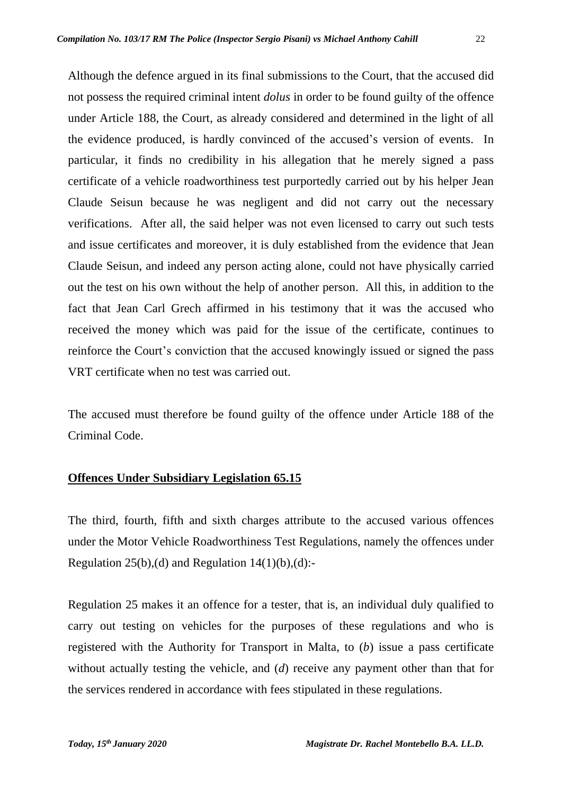Although the defence argued in its final submissions to the Court, that the accused did not possess the required criminal intent *dolus* in order to be found guilty of the offence under Article 188, the Court, as already considered and determined in the light of all the evidence produced, is hardly convinced of the accused's version of events. In particular, it finds no credibility in his allegation that he merely signed a pass certificate of a vehicle roadworthiness test purportedly carried out by his helper Jean Claude Seisun because he was negligent and did not carry out the necessary verifications. After all, the said helper was not even licensed to carry out such tests and issue certificates and moreover, it is duly established from the evidence that Jean Claude Seisun, and indeed any person acting alone, could not have physically carried out the test on his own without the help of another person. All this, in addition to the fact that Jean Carl Grech affirmed in his testimony that it was the accused who received the money which was paid for the issue of the certificate, continues to reinforce the Court's conviction that the accused knowingly issued or signed the pass VRT certificate when no test was carried out.

The accused must therefore be found guilty of the offence under Article 188 of the Criminal Code.

# **Offences Under Subsidiary Legislation 65.15**

The third, fourth, fifth and sixth charges attribute to the accused various offences under the Motor Vehicle Roadworthiness Test Regulations, namely the offences under Regulation 25(b),(d) and Regulation  $14(1)(b)$ ,(d):-

Regulation 25 makes it an offence for a tester, that is, an individual duly qualified to carry out testing on vehicles for the purposes of these regulations and who is registered with the Authority for Transport in Malta, to (*b*) issue a pass certificate without actually testing the vehicle, and (*d*) receive any payment other than that for the services rendered in accordance with fees stipulated in these regulations.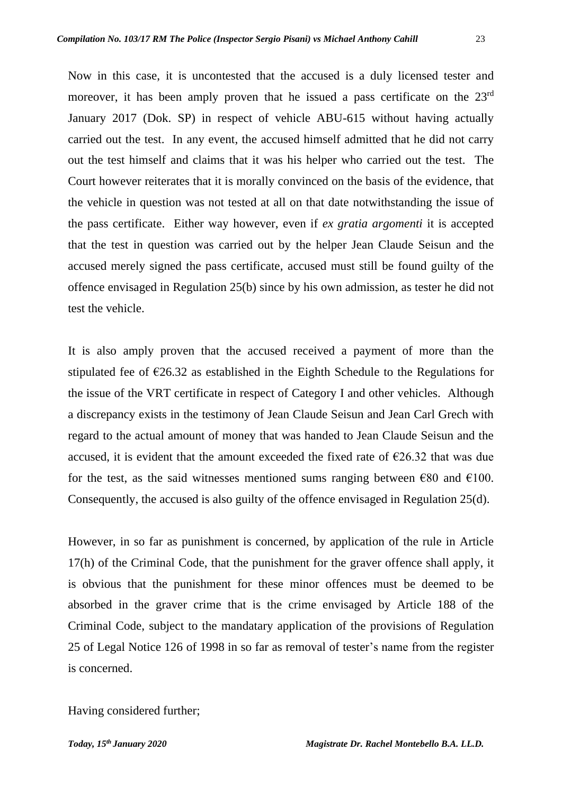Now in this case, it is uncontested that the accused is a duly licensed tester and moreover, it has been amply proven that he issued a pass certificate on the 23<sup>rd</sup> January 2017 (Dok. SP) in respect of vehicle ABU-615 without having actually carried out the test. In any event, the accused himself admitted that he did not carry out the test himself and claims that it was his helper who carried out the test. The Court however reiterates that it is morally convinced on the basis of the evidence, that the vehicle in question was not tested at all on that date notwithstanding the issue of the pass certificate. Either way however, even if *ex gratia argomenti* it is accepted that the test in question was carried out by the helper Jean Claude Seisun and the accused merely signed the pass certificate, accused must still be found guilty of the offence envisaged in Regulation 25(b) since by his own admission, as tester he did not test the vehicle.

It is also amply proven that the accused received a payment of more than the stipulated fee of  $\epsilon$ 26.32 as established in the Eighth Schedule to the Regulations for the issue of the VRT certificate in respect of Category I and other vehicles. Although a discrepancy exists in the testimony of Jean Claude Seisun and Jean Carl Grech with regard to the actual amount of money that was handed to Jean Claude Seisun and the accused, it is evident that the amount exceeded the fixed rate of  $\epsilon$ 26.32 that was due for the test, as the said witnesses mentioned sums ranging between  $\epsilon$ 80 and  $\epsilon$ 100. Consequently, the accused is also guilty of the offence envisaged in Regulation 25(d).

However, in so far as punishment is concerned, by application of the rule in Article 17(h) of the Criminal Code, that the punishment for the graver offence shall apply, it is obvious that the punishment for these minor offences must be deemed to be absorbed in the graver crime that is the crime envisaged by Article 188 of the Criminal Code, subject to the mandatary application of the provisions of Regulation 25 of Legal Notice 126 of 1998 in so far as removal of tester's name from the register is concerned.

Having considered further;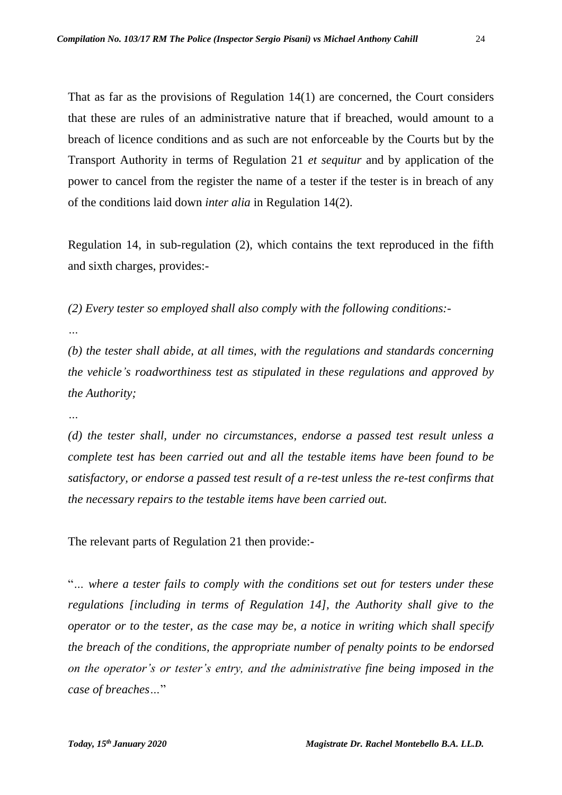That as far as the provisions of Regulation 14(1) are concerned, the Court considers that these are rules of an administrative nature that if breached, would amount to a breach of licence conditions and as such are not enforceable by the Courts but by the Transport Authority in terms of Regulation 21 *et sequitur* and by application of the power to cancel from the register the name of a tester if the tester is in breach of any of the conditions laid down *inter alia* in Regulation 14(2).

Regulation 14, in sub-regulation (2), which contains the text reproduced in the fifth and sixth charges, provides:-

*(2) Every tester so employed shall also comply with the following conditions:-*

*…*

*(b) the tester shall abide, at all times, with the regulations and standards concerning the vehicle's roadworthiness test as stipulated in these regulations and approved by the Authority;*

*…*

*(d) the tester shall, under no circumstances, endorse a passed test result unless a complete test has been carried out and all the testable items have been found to be satisfactory, or endorse a passed test result of a re-test unless the re-test confirms that the necessary repairs to the testable items have been carried out.*

The relevant parts of Regulation 21 then provide:-

"*… where a tester fails to comply with the conditions set out for testers under these regulations [including in terms of Regulation 14], the Authority shall give to the operator or to the tester, as the case may be, a notice in writing which shall specify the breach of the conditions, the appropriate number of penalty points to be endorsed on the operator's or tester's entry, and the administrative fine being imposed in the case of breaches…*"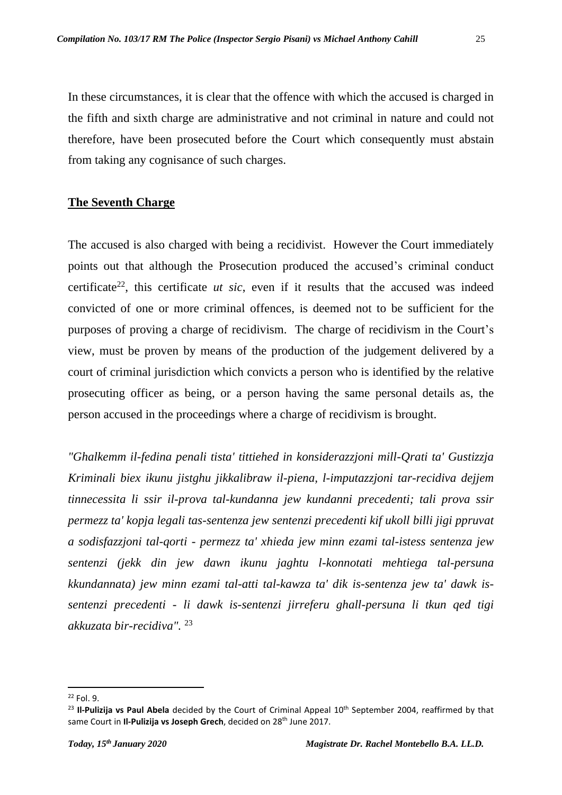In these circumstances, it is clear that the offence with which the accused is charged in the fifth and sixth charge are administrative and not criminal in nature and could not therefore, have been prosecuted before the Court which consequently must abstain from taking any cognisance of such charges.

## **The Seventh Charge**

The accused is also charged with being a recidivist. However the Court immediately points out that although the Prosecution produced the accused's criminal conduct certificate<sup>22</sup>, this certificate  $ut$  sic, even if it results that the accused was indeed convicted of one or more criminal offences, is deemed not to be sufficient for the purposes of proving a charge of recidivism. The charge of recidivism in the Court's view, must be proven by means of the production of the judgement delivered by a court of criminal jurisdiction which convicts a person who is identified by the relative prosecuting officer as being, or a person having the same personal details as, the person accused in the proceedings where a charge of recidivism is brought.

*"Ghalkemm il-fedina penali tista' tittiehed in konsiderazzjoni mill-Qrati ta' Gustizzja Kriminali biex ikunu jistghu jikkalibraw il-piena, l-imputazzjoni tar-recidiva dejjem tinnecessita li ssir il-prova tal-kundanna jew kundanni precedenti; tali prova ssir permezz ta' kopja legali tas-sentenza jew sentenzi precedenti kif ukoll billi jigi ppruvat a sodisfazzjoni tal-qorti - permezz ta' xhieda jew minn ezami tal-istess sentenza jew sentenzi (jekk din jew dawn ikunu jaghtu l-konnotati mehtiega tal-persuna kkundannata) jew minn ezami tal-atti tal-kawza ta' dik is-sentenza jew ta' dawk issentenzi precedenti - li dawk is-sentenzi jirreferu ghall-persuna li tkun qed tigi akkuzata bir-recidiva".* 23

<sup>22</sup> Fol. 9.

<sup>&</sup>lt;sup>23</sup> **Il-Pulizija vs Paul Abela** decided by the Court of Criminal Appeal 10<sup>th</sup> September 2004, reaffirmed by that same Court in Il-Pulizija vs Joseph Grech, decided on 28<sup>th</sup> June 2017.